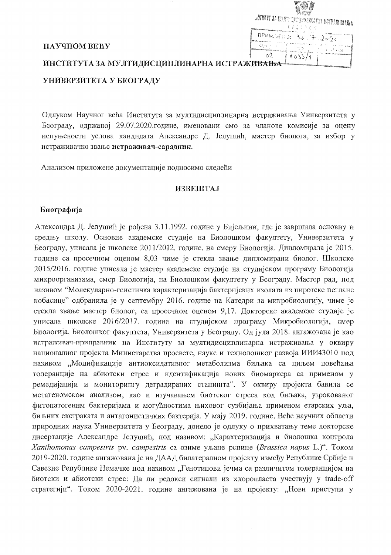| <b>11 W</b>                                       | éG.                                                                                                                                                              |
|---------------------------------------------------|------------------------------------------------------------------------------------------------------------------------------------------------------------------|
|                                                   | <b>ATHYT 34 GY</b> AYAN NARAYA WIPANHABA                                                                                                                         |
|                                                   | 法律公告办法 地<br>Абрасанын мүздердин айынгы түз үчүн ээр                                                                                                              |
| НАУЧНОМ ВЕЋУ                                      | $n_{\text{PWHM}}$ , $30.7.202$<br>Obr<br>in the second convenient<br>n. N<br>g 2000 ang personal and an array are as well as a shift of<br>a man salawa ang pag- |
| 02<br>ИНСТИТУТА ЗА МУЛТИДИСЦИПЛИНАРНА ИСТРАЖИВАЊА |                                                                                                                                                                  |

# УНИВЕРЗИТЕТА У БЕОГРАДУ

Одлуком Научног већа Института за мултидисциплинарна истраживања Универзитета у Београду, одржаној 29.07.2020.године, именовани смо за чланове комисије за оцену испуњености услова кандидата Александре Д. Јелушић, мастер биолога, за избор у истраживачко звање истраживач-сарадник.

Анализом приложене документације подносимо следећи

#### **ИЗВЕШТАЈ**

#### Биографија

Александра Д. Јелушић је рођена 3.11.1992. године у Бијељини, где је завршила основну и средњу школу. Основне академске студије на Биолошком факултету, Универзитета у Београду, уписала је школске 2011/2012. године, на смеру Биологија. Дипломирала је 2015. године са просечном оценом 8,03 чиме је стекла звање дипломирани биолог. Школске 2015/2016. године уписала је мастер академске студије на студијском програму Биологија микроорганизама, смер Биологија, на Биолошком факултету у Београду. Мастер рад, под називом "Молекуларно-генетичка карактеризација бактеријских изолата из пиротске пеглане кобасице" одбранила је у септембру 2016. године на Катедри за микробиологију, чиме је стекла звање мастер биолог, са просечном оценом 9,17. Докторске академске студије је уписала школске 2016/2017. године на студијском програму Микробиологија, смер Биологија, Биолошког факултета, Универзитета у Београду. Од јула 2018. ангажована је као истраживач-приправник на Институту за мултидисциплинарна истраживања у оквиру националног пројекта Министарства просвете, науке и технолошког развоја ИИИ43010 под називом "Модификације антиоксидативног метаболизма биљака са циљем повећања толеранције на абиотски стрес и идентификација нових биомаркера са применом у ремедијацији и мониторингу деградираних станишта". У оквиру пројекта бавила се метагеномском анализом, као и изучавањем биотског стреса код биљака, узрокованог фитопатогеним бактеријама и могућностима њиховог сузбијања применом етарских уља, биљних екстраката и антагонистичких бактерија. У мају 2019. године, Веће научних области природних наука Универзитета у Београду, донело је одлуку о прихватању теме докторске дисертације Александре Јелушић, под називом: "Карактеризација и биолошка контрола Xanthomonas campestris pv. campestris са озиме уљане репице (Brassica napus L.)". Током 2019-2020. године ангажована је на ДААД билатералном пројекту између Републике Србије и Савезне Републике Немачке под називом "Генотипови јечма са различитом толеранцијом на биотски и абиотски стрес: Да ли редокси сигнали из хлоропласта учествују у trade-off стратегији". Током 2020-2021. године ангажована је на пројекту: "Нови приступи у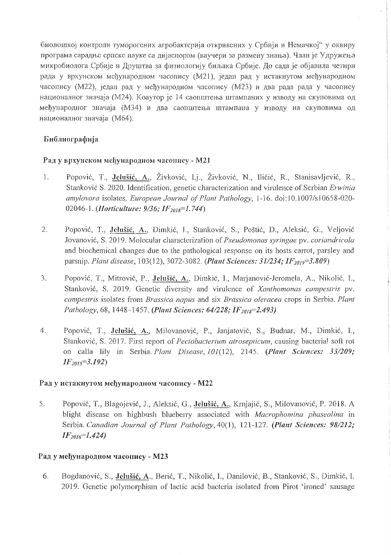биолошкој контроли туморогених агробактерија откривених у Србији и Немачкој" у оквиру програма сарадње српске науке са дијаспором (ваучери за размену знања). Члан је Удружења микробиолога Србије и Друштва за физиологију биљака Србије. До сада је објавила четири рада у врхунском међународном часопису (М21), један рад у истакнутом међународном часопису (М22), један рад у међународном часопису (М23) и два рада рада у часопису националног значаја (М24). Коаутор је 14 саопштења штампаних у изводу на скуповима од међународног значаја (МЗ4) и два саопштења штампана у изводу на скуповима од националног значаја (М64).

# Библиографија

### Рад у врхунском међународном часопису - М21

- $1.$ Popović, T., Jelušić, A., Živković, Li., Živković, N., Iličić, R., Stanisavljević, R., Stanković S. 2020. Identification, genetic characterization and virulence of Serbian Erwinia amylovora isolates. European Journal of Plant Pathology, 1-16. doi:10.1007/s10658-020-02046-1. (*Horticulture: 9/36; IF*<sub>2018</sub>=1.744)
- 2. Popović, T., Jelušić, A., Dimkić, J., Stanković, S., Poštić, D., Aleksić, G., Veljović Jovanović, S. 2019. Molecular characterization of Pseudomonas syringae pv. coriandricola and biochemical changes due to the pathological response on its hosts carrot, parsley and parsnip. Plant disease, 103(12), 3072-3082. (Plant Sciences:  $31/234$ ; IF  $_{2019}$ =3.809)
- 3. Popović, T., Mitrović, P., Jelušić, A., Dimkić, I., Marjanović-Jeromela, A., Nikolić, I., Stanković, S. 2019. Genetic diversity and virulence of Xanthomonas campestris pv. campestris isolates from Brassica napus and six Brassica oleracea crops in Serbia. Plant Pathology, 68, 1448-1457. (Plant Sciences: 64/228; IF<sub>2018</sub>=2.493)
- $4.$ Popović, T., Jelušić, A., Milovanović, P., Janjatović, S., Budnar, M., Dimkić, I., Stanković, S. 2017. First report of Pectobacterium atrosepticum, causing bacterial soft rot on calla lily in Serbia. Plant Disease, 101(12), 2145. (Plant Sciences: 33/209;  $IF_{2015} = 3.192$

# Рад у истакнутом међународном часопису - М22

5. Popović, T., Blagojević, J., Aleksić, G., Jelušić, A., Krnjajić, S., Milovanović, P. 2018. A blight disease on highbush blueberry associated with Macrophomina phaseolina in Serbia. Canadian Journal of Plant Pathology, 40(1), 121-127. (Plant Sciences: 98/212;  $IF<sub>2016</sub>=1.424$ 

# Рад у међународном часопису - М23

6. Bogdanović, S., Jelušić, A., Berić, T., Nikolić, I., Danilović, B., Stanković, S., Dimkić, I. 2019. Genetic polymorphism of lactic acid bacteria isolated from Pirot 'ironed' sausage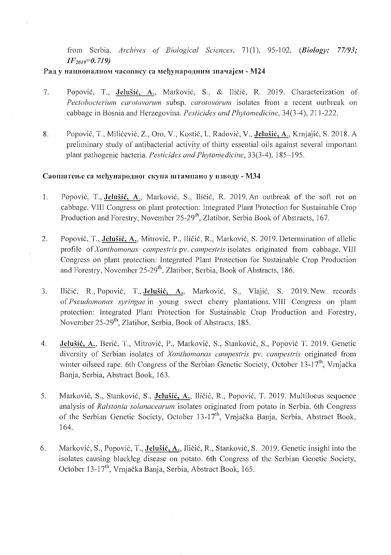from Serbia. *Archives of Biological Sciences*, 71(1), 95-102. *(Biology: 77/93; IF2019=O.719)* 

#### Рад у националном часопису са међународним значајем - М24

- 7. Popović, T., Jelušić, A., Marković, S., & Iličić, R. 2019. Characterization of *Pectobacterium carotovorum* subsp. *carotovorum* isolates from a recent outbreak on cabbage in Bosnia and Herzegovina. *Pesticides and Phytomedicine*, 34(3-4), 211-222.
- 8. Popović, T., Milićević, Z., Oro, V., Kostić, I., Radović, V., Jelušić, A., Krnjajić, S. 2018. A. preliminary study of antibacterial activity of thirty essential oils against several important plant pathogenic bacteria. *Pesticides and Phytomedicine,* 33(3-4), 1 95.

#### Саопштење са међународног скупа штампано у изводу - М34

- 1. Popović, T., Jelušić, A., Marković, S., Iličić, R. 2019. An outbreak of the soft rot on cabbage. VIIl Congress on plant protection: Integrated Plant Protection for Sustainable Crop Production and Forestry, November 25-29<sup>th</sup>, Zlatibor, Serbia Book of Abstracts, 167.
- 2. Popović, T., Jelušić, A., Mitrović, P., Iličić, R., Marković, S. 2019. Determination of allelic profile of*Xanthomonas campestris* pv. *campestris* isolates originated from cabbage. VlJI Congress on plant protection: Integrated Plant Protection for Sustainable Crop Production and Forestry, November 25-29<sup>th</sup>, Zlatibor, Serbia, Book of Abstracts, 186.
- 3. Iličić, R., Popović, T., **Jelušić, A.**, Marković, S., Vlajić, S. 2019. New records of *Pseudomonas syringae* in young sweet cherry plantations. VIII Congress on plant protection: Integrated Plant Protection for Sustainable Crop Production and Forestry, November 25-29<sup>th</sup>, Zlatibor, Serbia, Book of Abstracts, 185.
- 4. **Jelušić, A.**, Berić, T., Mitrović, P., Marković, S., Stanković, S., Popović T. 2019. Genetic diversity of Serbian isolates of *Xanthomonas campestris* pv. *campestris* originated from winter oilseed rape. 6th Congress of the Serbian Genetic Society, October 13-17<sup>th</sup>, Vrnjačka Banja, Serbia, Abstract Book, 163.
- 5. Marković, S., Stanković, S., Jelušić, A., Iličić, R., Popović, T. 2019. Multilocus sequence analysis of *Ralstonia solanacearum* isolates originated from potato in Serbia. 6th Congress of the Serbian Genetic Society, October 13-17<sup>th</sup>, Vrnjačka Banja, Serbia, Abstract Book, 164.
- 6. Markovic, S., Popovic, T., Jelusic, A., IIiCic, R., Stankovic, S. 2019. Genetic insight into the isolates causing blackleg disease on potato. 6th Congress of the Serbian Genetic Society, October 13-17<sup>th</sup>, Vrnjačka Banja, Serbia, Abstract Book, 165.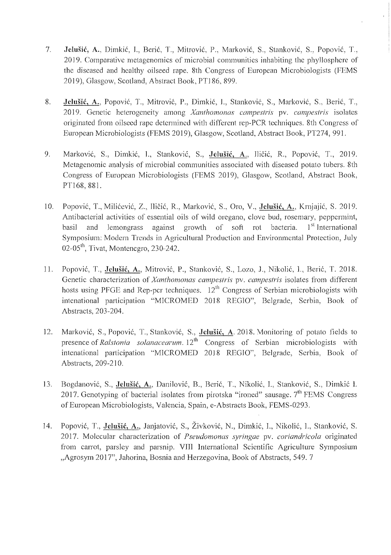- 7. Jelušić, A., Dimkić, I., Berić, T., Mitrović, P., Marković, S., Stanković, S., Popović, T., 2019. Comparative melagenomics of microbial communities inhabiting the phyllosphere of the diseased and healthy oilseed rape. 8th Congress of European Microbiologists (FEMS 2019), Glasgow, Scotland, Abstract Book, PT186, 899.
- 8. Jelušić, A., Popović, T., Mitrović, P., Dimkić, I., Stanković, S., Marković, S., Berić, T., 2019. Genetic heterogeneity among Xanthomonas campestris pv. campestris isolates originated from oilseed rape determined with different rep-PCR techniques. 8th Congress of European Microbiologists (FEMS 2019), Glasgow, Scotland, Abstract Book, PT274, 991.
- 9. Marković, S., Dimkić, I., Stanković, S., Jelušić, A., Iličić, R., Popović, T., 2019. Metagenomic analysis of microbial communities associated with diseased potato tubers. 8th Congress of European Microbiologists (FEMS 2019), Glasgow, Scotland, Abstract Book, PT168, 881.
- 10. Popović, T., Milićević, Z., Iličić, R., Marković, S., Oro, V., Jelušić, A., Krnjajić, S. 2019. Antibacterial activities of essential oils of wild oregano, clove bud, rosemary, peppermint, basil and lemongrass against growth of soft rot bacteria.  $1<sup>st</sup>$  International Symposium: Modern Trends in Agricultural Production and Environmental Protection, July  $02-05$ <sup>th</sup>, Tivat, Montenegro, 230-242.
- 11. Popović, T., Jelušić, A., Mitrović, P., Stanković, S., Lozo, J., Nikolić, I., Berić, T. 2018. Genetic characterization of *Xanthomonas campestris* pv. *campestris* isolates from different hosts using PFGE and Rep-pcr techniques.  $12<sup>th</sup>$  Congress of Serbian microbiologists with intenational participation "MICROMED 2018 REGIO", Belgrade, Serbia, Book of Abstracts, 203-204.
- 12. Marković, S., Popović, T., Stanković, S., Jelušić, A. 2018. Monitoring of potato fields to presence of *Ralstonia solanacearum.* 12<sup>th</sup> Congress of Serbian microbiologists with intenational participation "MICROMED 2018 REGIO", Belgrade, Serbia, Book of Abstracts, 209-210.
- ]3. Bogdanovic, S., Jelusic, A., Danilovic, B., Beric, T., Nikolic, 1., Stankovic, S., Dimkic L 2017. Genotyping of bacterial isolates from pirotska "ironed" sausage.  $7<sup>th</sup>$  FEMS Congress of European Microbiologists, Valencia, Spain, e-Abstracts Book, FEMS-0293.
- 14. Popović, T., Jelušić, A., Janjatović, S., Živković, N., Dimkić, I., Nikolić, I., Stanković, S. 2017. Molecular characterization of *Pseudomonas .syringae* pv. *coriandricola* originated from carrot, parsley and parsnip. VIII International Scientific Agriculture Symposium "Agrosym 2017", Jahorina, Bosnia and Herzegovina, Book of Abstracts, 549. 7